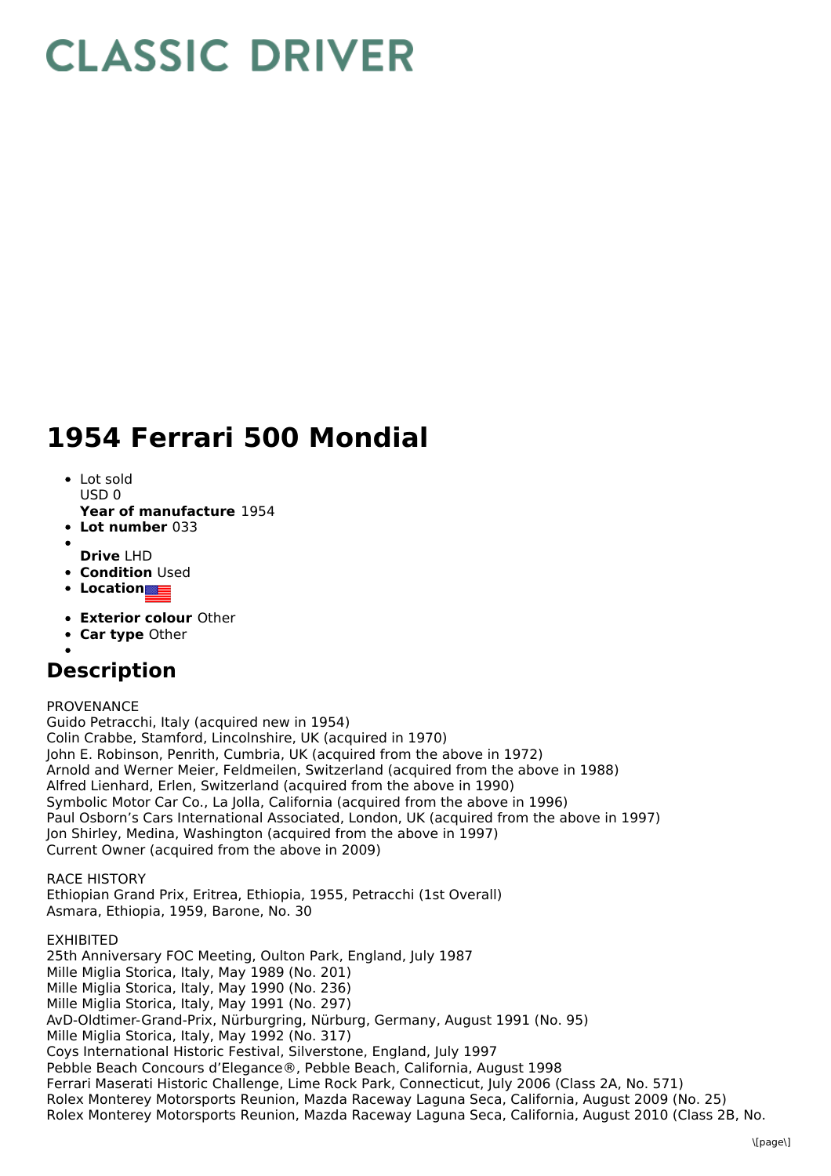# **CLASSIC DRIVER**

# **1954 Ferrari 500 Mondial**

- Lot sold USD 0
- **Year of manufacture** 1954
- **Lot number** 033
- **Drive** LHD
- **Condition Used**
- **Location**
- **Exterior colour** Other
- **Car type** Other
- 

## **Description**

PROVENANCE

Guido Petracchi, Italy (acquired new in 1954) Colin Crabbe, Stamford, Lincolnshire, UK (acquired in 1970) John E. Robinson, Penrith, Cumbria, UK (acquired from the above in 1972) Arnold and Werner Meier, Feldmeilen, Switzerland (acquired from the above in 1988) Alfred Lienhard, Erlen, Switzerland (acquired from the above in 1990) Symbolic Motor Car Co., La Jolla, California (acquired from the above in 1996) Paul Osborn's Cars International Associated, London, UK (acquired from the above in 1997) Jon Shirley, Medina, Washington (acquired from the above in 1997) Current Owner (acquired from the above in 2009)

RACE HISTORY Ethiopian Grand Prix, Eritrea, Ethiopia, 1955, Petracchi (1st Overall) Asmara, Ethiopia, 1959, Barone, No. 30

EXHIBITED 25th Anniversary FOC Meeting, Oulton Park, England, July 1987 Mille Miglia Storica, Italy, May 1989 (No. 201) Mille Miglia Storica, Italy, May 1990 (No. 236) Mille Miglia Storica, Italy, May 1991 (No. 297) AvD-Oldtimer-Grand-Prix, Nürburgring, Nürburg, Germany, August 1991 (No. 95) Mille Miglia Storica, Italy, May 1992 (No. 317) Coys International Historic Festival, Silverstone, England, July 1997 Pebble Beach Concours d'Elegance®, Pebble Beach, California, August 1998 Ferrari Maserati Historic Challenge, Lime Rock Park, Connecticut, July 2006 (Class 2A, No. 571) Rolex Monterey Motorsports Reunion, Mazda Raceway Laguna Seca, California, August 2009 (No. 25) Rolex Monterey Motorsports Reunion, Mazda Raceway Laguna Seca, California, August 2010 (Class 2B, No.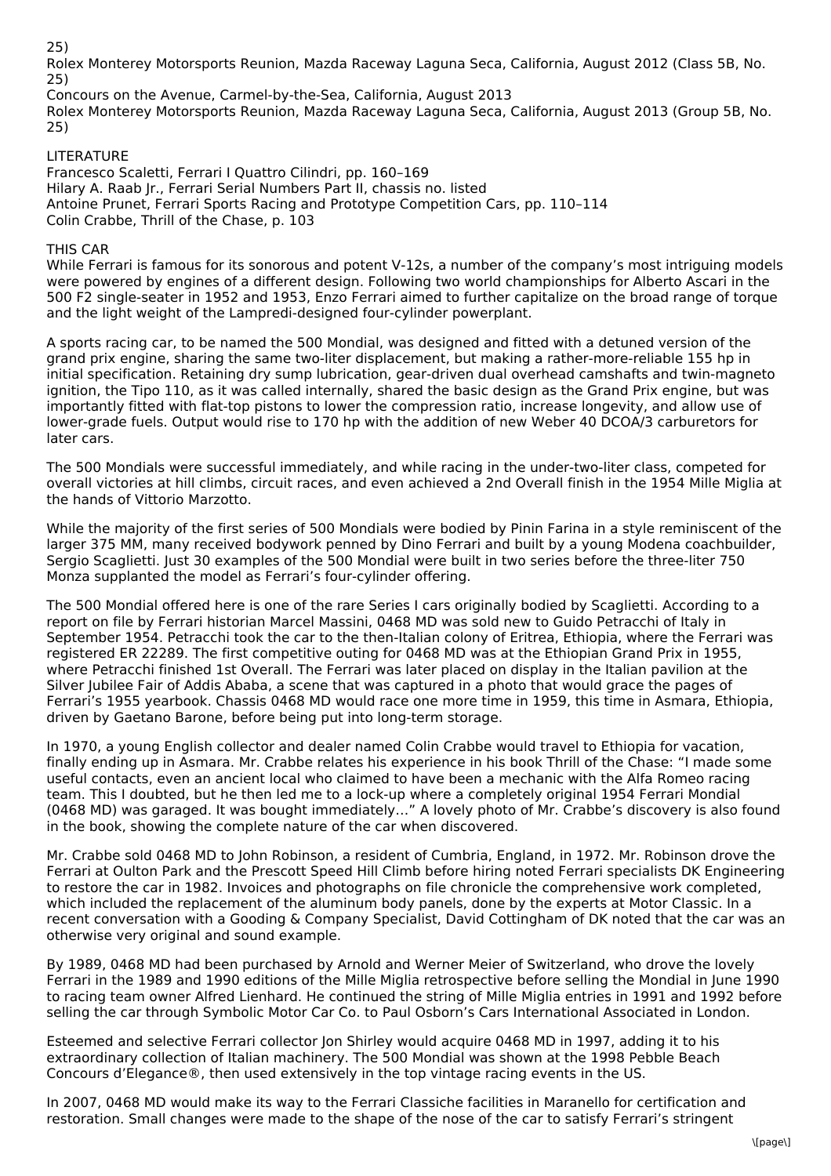25)

Rolex Monterey Motorsports Reunion, Mazda Raceway Laguna Seca, California, August 2012 (Class 5B, No. 25)

Concours on the Avenue, Carmel-by-the-Sea, California, August 2013 Rolex Monterey Motorsports Reunion, Mazda Raceway Laguna Seca, California, August 2013 (Group 5B, No. 25)

### LITERATURE

Francesco Scaletti, Ferrari I Quattro Cilindri, pp. 160–169 Hilary A. Raab Jr., Ferrari Serial Numbers Part II, chassis no. listed Antoine Prunet, Ferrari Sports Racing and Prototype Competition Cars, pp. 110–114 Colin Crabbe, Thrill of the Chase, p. 103

### THIS CAR

While Ferrari is famous for its sonorous and potent V-12s, a number of the company's most intriguing models were powered by engines of a different design. Following two world championships for Alberto Ascari in the 500 F2 single-seater in 1952 and 1953, Enzo Ferrari aimed to further capitalize on the broad range of torque and the light weight of the Lampredi-designed four-cylinder powerplant.

A sports racing car, to be named the 500 Mondial, was designed and fitted with a detuned version of the grand prix engine, sharing the same two-liter displacement, but making a rather-more-reliable 155 hp in initial specification. Retaining dry sump lubrication, gear-driven dual overhead camshafts and twin-magneto ignition, the Tipo 110, as it was called internally, shared the basic design as the Grand Prix engine, but was importantly fitted with flat-top pistons to lower the compression ratio, increase longevity, and allow use of lower-grade fuels. Output would rise to 170 hp with the addition of new Weber 40 DCOA/3 carburetors for later cars.

The 500 Mondials were successful immediately, and while racing in the under-two-liter class, competed for overall victories at hill climbs, circuit races, and even achieved a 2nd Overall finish in the 1954 Mille Miglia at the hands of Vittorio Marzotto.

While the majority of the first series of 500 Mondials were bodied by Pinin Farina in a style reminiscent of the larger 375 MM, many received bodywork penned by Dino Ferrari and built by a young Modena coachbuilder, Sergio Scaglietti. Just 30 examples of the 500 Mondial were built in two series before the three-liter 750 Monza supplanted the model as Ferrari's four-cylinder offering.

The 500 Mondial offered here is one of the rare Series I cars originally bodied by Scaglietti. According to a report on file by Ferrari historian Marcel Massini, 0468 MD was sold new to Guido Petracchi of Italy in September 1954. Petracchi took the car to the then-Italian colony of Eritrea, Ethiopia, where the Ferrari was registered ER 22289. The first competitive outing for 0468 MD was at the Ethiopian Grand Prix in 1955, where Petracchi finished 1st Overall. The Ferrari was later placed on display in the Italian pavilion at the Silver Jubilee Fair of Addis Ababa, a scene that was captured in a photo that would grace the pages of Ferrari's 1955 yearbook. Chassis 0468 MD would race one more time in 1959, this time in Asmara, Ethiopia, driven by Gaetano Barone, before being put into long-term storage.

In 1970, a young English collector and dealer named Colin Crabbe would travel to Ethiopia for vacation, finally ending up in Asmara. Mr. Crabbe relates his experience in his book Thrill of the Chase: "I made some useful contacts, even an ancient local who claimed to have been a mechanic with the Alfa Romeo racing team. This I doubted, but he then led me to a lock-up where a completely original 1954 Ferrari Mondial (0468 MD) was garaged. It was bought immediately…" A lovely photo of Mr. Crabbe's discovery is also found in the book, showing the complete nature of the car when discovered.

Mr. Crabbe sold 0468 MD to John Robinson, a resident of Cumbria, England, in 1972. Mr. Robinson drove the Ferrari at Oulton Park and the Prescott Speed Hill Climb before hiring noted Ferrari specialists DK Engineering to restore the car in 1982. Invoices and photographs on file chronicle the comprehensive work completed, which included the replacement of the aluminum body panels, done by the experts at Motor Classic. In a recent conversation with a Gooding & Company Specialist, David Cottingham of DK noted that the car was an otherwise very original and sound example.

By 1989, 0468 MD had been purchased by Arnold and Werner Meier of Switzerland, who drove the lovely Ferrari in the 1989 and 1990 editions of the Mille Miglia retrospective before selling the Mondial in June 1990 to racing team owner Alfred Lienhard. He continued the string of Mille Miglia entries in 1991 and 1992 before selling the car through Symbolic Motor Car Co. to Paul Osborn's Cars International Associated in London.

Esteemed and selective Ferrari collector Jon Shirley would acquire 0468 MD in 1997, adding it to his extraordinary collection of Italian machinery. The 500 Mondial was shown at the 1998 Pebble Beach Concours d'Elegance®, then used extensively in the top vintage racing events in the US.

In 2007, 0468 MD would make its way to the Ferrari Classiche facilities in Maranello for certification and restoration. Small changes were made to the shape of the nose of the car to satisfy Ferrari's stringent